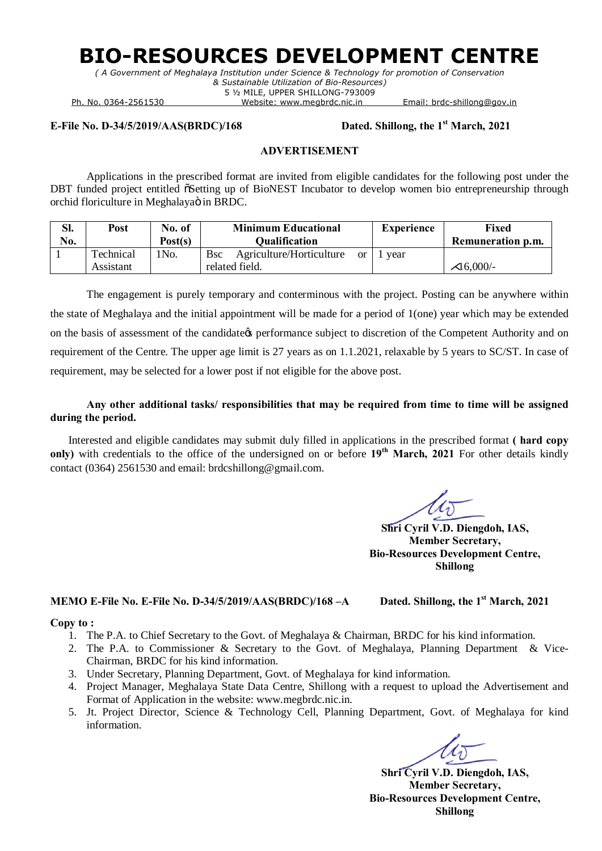# **BIO-RESOURCES DEVELOPMENT CENTRE**

*( A Government of Meghalaya Institution under Science & Technology for promotion of Conservation & Sustainable Utilization of Bio-Resources)* 5 ½ MILE, UPPER SHILLONG-793009

Ph. No. 0364-2561530 Website: www.megbrdc.nic.in Email: brdc-shillong@gov.in

#### **E-File No. D-34/5/2019/AAS(BRDC)/168 Dated. Shillong, the 1st March, 2021**

#### **ADVERTISEMENT**

Applications in the prescribed format are invited from eligible candidates for the following post under the DBT funded project entitled  $\tilde{o}$ Setting up of BioNEST Incubator to develop women bio entrepreneurship through orchid floriculture in Meghalayaö in BRDC.

| Sl. | Post      | No. of            | <b>Minimum Educational</b>                               | <b>Experience</b> | Fixed                    |  |
|-----|-----------|-------------------|----------------------------------------------------------|-------------------|--------------------------|--|
| No. |           | Post(s)           | <b>Qualification</b>                                     |                   | <b>Remuneration p.m.</b> |  |
|     | Technical | 1N <sub>0</sub> . | Agriculture/Horticulture<br><b>B</b> sc<br><sub>or</sub> | year              |                          |  |
|     | Assistant |                   | related field.                                           |                   | 16,000/-                 |  |

The engagement is purely temporary and conterminous with the project. Posting can be anywhere within the state of Meghalaya and the initial appointment will be made for a period of 1(one) year which may be extended on the basis of assessment of the candidate to performance subject to discretion of the Competent Authority and on requirement of the Centre. The upper age limit is 27 years as on 1.1.2021, relaxable by 5 years to SC/ST. In case of requirement, may be selected for a lower post if not eligible for the above post.

**Any other additional tasks/ responsibilities that may be required from time to time will be assigned during the period.**

Interested and eligible candidates may submit duly filled in applications in the prescribed format **( hard copy only)** with credentials to the office of the undersigned on or before **19th March, 2021** For other details kindly contact (0364) 2561530 and email: brdcshillong@gmail.com.

**Shri Cyril V.D. Diengdoh, IAS, Member Secretary, Bio-Resources Development Centre, Shillong**

#### **MEMO E-File No. E-File No. D-34/5/2019/AAS(BRDC)/168 –A Dated. Shillong, the 1st March, 2021**

#### **Copy to :**

- 1. The P.A. to Chief Secretary to the Govt. of Meghalaya & Chairman, BRDC for his kind information.
- 2. The P.A. to Commissioner & Secretary to the Govt. of Meghalaya, Planning Department & Vice-Chairman, BRDC for his kind information.
- 3. Under Secretary, Planning Department, Govt. of Meghalaya for kind information.
- 4. Project Manager, Meghalaya State Data Centre, Shillong with a request to upload the Advertisement and Format of Application in the website: www.megbrdc.nic.in.
- 5. Jt. Project Director, Science & Technology Cell, Planning Department, Govt. of Meghalaya for kind information.

**Shri Cyril V.D. Diengdoh, IAS, Member Secretary, Bio-Resources Development Centre, Shillong**